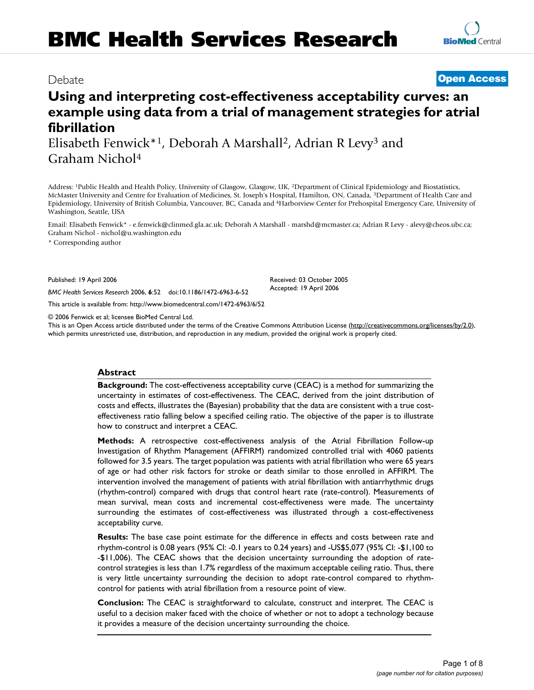# **BMC Health Services Research**

# **Using and interpreting cost-effectiveness acceptability curves: an example using data from a trial of management strategies for atrial fibrillation**

Elisabeth Fenwick\*<sup>1</sup>, Deborah A Marshall<sup>2</sup>, Adrian R Levy<sup>3</sup> and Graham Nichol4

Address: 1Public Health and Health Policy, University of Glasgow, Glasgow, UK, 2Department of Clinical Epidemiology and Biostatistics, McMaster University and Centre for Evaluation of Medicines, St. Joseph's Hospital, Hamilton, ON, Canada, 3Department of Health Care and Epidemiology, University of British Columbia, Vancouver, BC, Canada and 4Harborview Center for Prehospital Emergency Care, University of Washington, Seattle, USA

Email: Elisabeth Fenwick\* - e.fenwick@clinmed.gla.ac.uk; Deborah A Marshall - marshd@mcmaster.ca; Adrian R Levy - alevy@cheos.ubc.ca; Graham Nichol - nichol@u.washington.edu

\* Corresponding author

Published: 19 April 2006

*BMC Health Services Research* 2006, **6**:52 doi:10.1186/1472-6963-6-52

[This article is available from: http://www.biomedcentral.com/1472-6963/6/52](http://www.biomedcentral.com/1472-6963/6/52)

© 2006 Fenwick et al; licensee BioMed Central Ltd.

This is an Open Access article distributed under the terms of the Creative Commons Attribution License [\(http://creativecommons.org/licenses/by/2.0\)](http://creativecommons.org/licenses/by/2.0), which permits unrestricted use, distribution, and reproduction in any medium, provided the original work is properly cited.

#### **Abstract**

**Background:** The cost-effectiveness acceptability curve (CEAC) is a method for summarizing the uncertainty in estimates of cost-effectiveness. The CEAC, derived from the joint distribution of costs and effects, illustrates the (Bayesian) probability that the data are consistent with a true costeffectiveness ratio falling below a specified ceiling ratio. The objective of the paper is to illustrate how to construct and interpret a CEAC.

**Methods:** A retrospective cost-effectiveness analysis of the Atrial Fibrillation Follow-up Investigation of Rhythm Management (AFFIRM) randomized controlled trial with 4060 patients followed for 3.5 years. The target population was patients with atrial fibrillation who were 65 years of age or had other risk factors for stroke or death similar to those enrolled in AFFIRM. The intervention involved the management of patients with atrial fibrillation with antiarrhythmic drugs (rhythm-control) compared with drugs that control heart rate (rate-control). Measurements of mean survival, mean costs and incremental cost-effectiveness were made. The uncertainty surrounding the estimates of cost-effectiveness was illustrated through a cost-effectiveness acceptability curve.

**Results:** The base case point estimate for the difference in effects and costs between rate and rhythm-control is 0.08 years (95% CI: -0.1 years to 0.24 years) and -US\$5,077 (95% CI: -\$1,100 to -\$11,006). The CEAC shows that the decision uncertainty surrounding the adoption of ratecontrol strategies is less than 1.7% regardless of the maximum acceptable ceiling ratio. Thus, there is very little uncertainty surrounding the decision to adopt rate-control compared to rhythmcontrol for patients with atrial fibrillation from a resource point of view.

**Conclusion:** The CEAC is straightforward to calculate, construct and interpret. The CEAC is useful to a decision maker faced with the choice of whether or not to adopt a technology because it provides a measure of the decision uncertainty surrounding the choice.



## Debate **[Open Access](http://www.biomedcentral.com/info/about/charter/)**

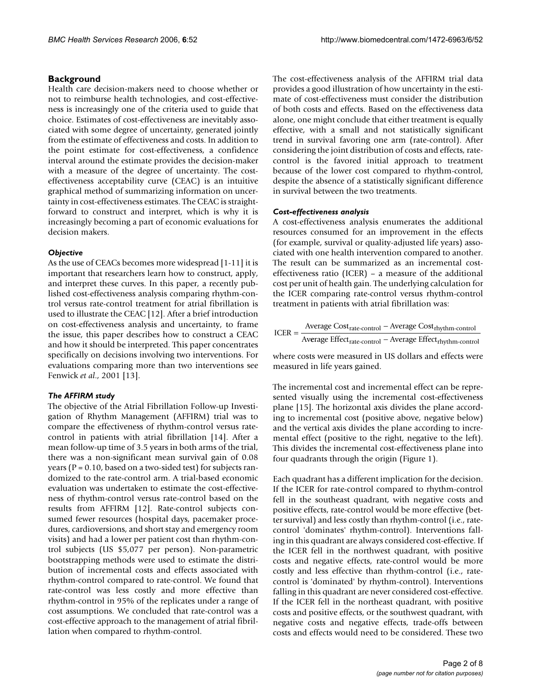#### **Background**

Health care decision-makers need to choose whether or not to reimburse health technologies, and cost-effectiveness is increasingly one of the criteria used to guide that choice. Estimates of cost-effectiveness are inevitably associated with some degree of uncertainty, generated jointly from the estimate of effectiveness and costs. In addition to the point estimate for cost-effectiveness, a confidence interval around the estimate provides the decision-maker with a measure of the degree of uncertainty. The costeffectiveness acceptability curve (CEAC) is an intuitive graphical method of summarizing information on uncertainty in cost-effectiveness estimates. The CEAC is straightforward to construct and interpret, which is why it is increasingly becoming a part of economic evaluations for decision makers.

#### *Objective*

As the use of CEACs becomes more widespread [1-11] it is important that researchers learn how to construct, apply, and interpret these curves. In this paper, a recently published cost-effectiveness analysis comparing rhythm-control versus rate-control treatment for atrial fibrillation is used to illustrate the CEAC [12]. After a brief introduction on cost-effectiveness analysis and uncertainty, to frame the issue, this paper describes how to construct a CEAC and how it should be interpreted. This paper concentrates specifically on decisions involving two interventions. For evaluations comparing more than two interventions see Fenwick *et al*., 2001 [13].

#### *The AFFIRM study*

The objective of the Atrial Fibrillation Follow-up Investigation of Rhythm Management (AFFIRM) trial was to compare the effectiveness of rhythm-control versus ratecontrol in patients with atrial fibrillation [14]. After a mean follow-up time of 3.5 years in both arms of the trial, there was a non-significant mean survival gain of 0.08 years ( $P = 0.10$ , based on a two-sided test) for subjects randomized to the rate-control arm. A trial-based economic evaluation was undertaken to estimate the cost-effectiveness of rhythm-control versus rate-control based on the results from AFFIRM [12]. Rate-control subjects consumed fewer resources (hospital days, pacemaker procedures, cardioversions, and short stay and emergency room visits) and had a lower per patient cost than rhythm-control subjects (US \$5,077 per person). Non-parametric bootstrapping methods were used to estimate the distribution of incremental costs and effects associated with rhythm-control compared to rate-control. We found that rate-control was less costly and more effective than rhythm-control in 95% of the replicates under a range of cost assumptions. We concluded that rate-control was a cost-effective approach to the management of atrial fibrillation when compared to rhythm-control.

The cost-effectiveness analysis of the AFFIRM trial data provides a good illustration of how uncertainty in the estimate of cost-effectiveness must consider the distribution of both costs and effects. Based on the effectiveness data alone, one might conclude that either treatment is equally effective, with a small and not statistically significant trend in survival favoring one arm (rate-control). After considering the joint distribution of costs and effects, ratecontrol is the favored initial approach to treatment because of the lower cost compared to rhythm-control, despite the absence of a statistically significant difference in survival between the two treatments.

#### *Cost-effectiveness analysis*

A cost-effectiveness analysis enumerates the additional resources consumed for an improvement in the effects (for example, survival or quality-adjusted life years) associated with one health intervention compared to another. The result can be summarized as an incremental costeffectiveness ratio (ICER) – a measure of the additional cost per unit of health gain. The underlying calculation for the ICER comparing rate-control versus rhythm-control treatment in patients with atrial fibrillation was:

$$
ICER = \frac{Average Cost_{rate-control} - Average Cost_{rhythm-control}}{Average Effect_{rate-control} - Average Effect_{rhythm-control}}
$$

where costs were measured in US dollars and effects were measured in life years gained.

The incremental cost and incremental effect can be represented visually using the incremental cost-effectiveness plane [15]. The horizontal axis divides the plane according to incremental cost (positive above, negative below) and the vertical axis divides the plane according to incremental effect (positive to the right, negative to the left). This divides the incremental cost-effectiveness plane into four quadrants through the origin (Figure 1).

Each quadrant has a different implication for the decision. If the ICER for rate-control compared to rhythm-control fell in the southeast quadrant, with negative costs and positive effects, rate-control would be more effective (better survival) and less costly than rhythm-control (i.e., ratecontrol 'dominates' rhythm-control). Interventions falling in this quadrant are always considered cost-effective. If the ICER fell in the northwest quadrant, with positive costs and negative effects, rate-control would be more costly and less effective than rhythm-control (i.e., ratecontrol is 'dominated' by rhythm-control). Interventions falling in this quadrant are never considered cost-effective. If the ICER fell in the northeast quadrant, with positive costs and positive effects, or the southwest quadrant, with negative costs and negative effects, trade-offs between costs and effects would need to be considered. These two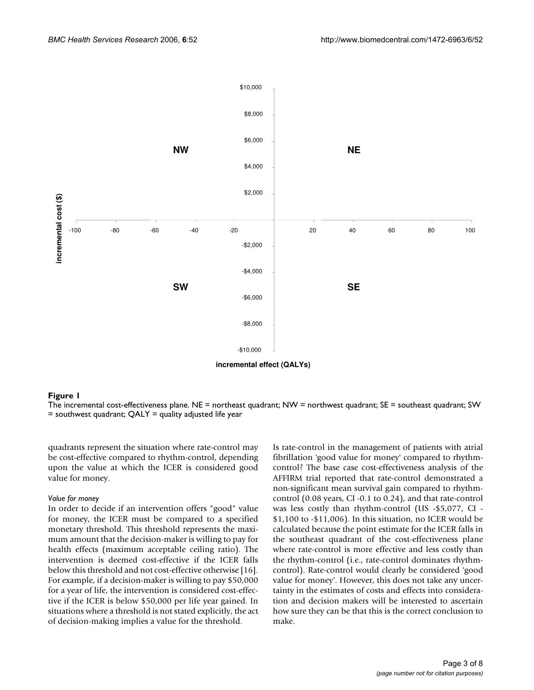

#### **Figure 1**

The incremental cost-effectiveness plane. NE = northeast quadrant; NW = northwest quadrant; SE = southeast quadrant; SW = southwest quadrant; QALY = quality adjusted life year

quadrants represent the situation where rate-control may be cost-effective compared to rhythm-control, depending upon the value at which the ICER is considered good value for money.

#### *Value for money*

In order to decide if an intervention offers "good" value for money, the ICER must be compared to a specified monetary threshold. This threshold represents the maximum amount that the decision-maker is willing to pay for health effects (maximum acceptable ceiling ratio). The intervention is deemed cost-effective if the ICER falls below this threshold and not cost-effective otherwise [16]. For example, if a decision-maker is willing to pay \$50,000 for a year of life, the intervention is considered cost-effective if the ICER is below \$50,000 per life year gained. In situations where a threshold is not stated explicitly, the act of decision-making implies a value for the threshold.

Is rate-control in the management of patients with atrial fibrillation 'good value for money' compared to rhythmcontrol? The base case cost-effectiveness analysis of the AFFIRM trial reported that rate-control demonstrated a non-significant mean survival gain compared to rhythmcontrol (0.08 years, CI -0.1 to 0.24), and that rate-control was less costly than rhythm-control (US -\$5,077, CI - \$1,100 to -\$11,006). In this situation, no ICER would be calculated because the point estimate for the ICER falls in the southeast quadrant of the cost-effectiveness plane where rate-control is more effective and less costly than the rhythm-control (i.e., rate-control dominates rhythmcontrol). Rate-control would clearly be considered 'good value for money'. However, this does not take any uncertainty in the estimates of costs and effects into consideration and decision makers will be interested to ascertain how sure they can be that this is the correct conclusion to make.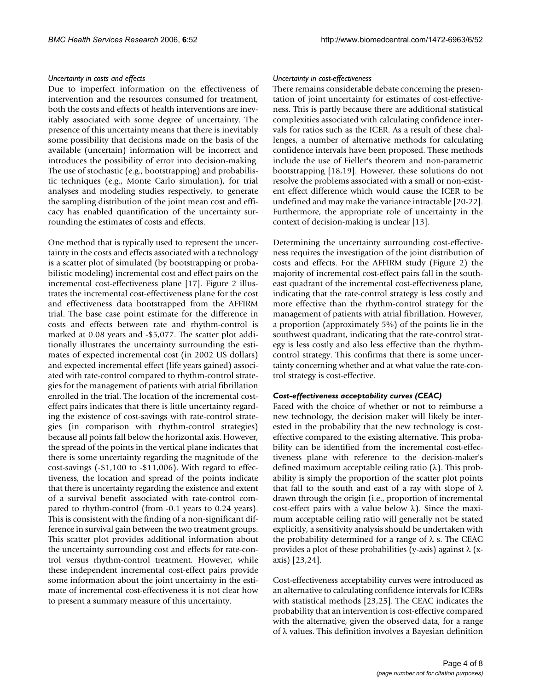#### *Uncertainty in costs and effects*

Due to imperfect information on the effectiveness of intervention and the resources consumed for treatment, both the costs and effects of health interventions are inevitably associated with some degree of uncertainty. The presence of this uncertainty means that there is inevitably some possibility that decisions made on the basis of the available (uncertain) information will be incorrect and introduces the possibility of error into decision-making. The use of stochastic (e.g., bootstrapping) and probabilistic techniques (e.g., Monte Carlo simulation), for trial analyses and modeling studies respectively, to generate the sampling distribution of the joint mean cost and efficacy has enabled quantification of the uncertainty surrounding the estimates of costs and effects.

One method that is typically used to represent the uncertainty in the costs and effects associated with a technology is a scatter plot of simulated (by bootstrapping or probabilistic modeling) incremental cost and effect pairs on the incremental cost-effectiveness plane [17]. Figure 2 illustrates the incremental cost-effectiveness plane for the cost and effectiveness data bootstrapped from the AFFIRM trial. The base case point estimate for the difference in costs and effects between rate and rhythm-control is marked at 0.08 years and -\$5,077. The scatter plot additionally illustrates the uncertainty surrounding the estimates of expected incremental cost (in 2002 US dollars) and expected incremental effect (life years gained) associated with rate-control compared to rhythm-control strategies for the management of patients with atrial fibrillation enrolled in the trial. The location of the incremental costeffect pairs indicates that there is little uncertainty regarding the existence of cost-savings with rate-control strategies (in comparison with rhythm-control strategies) because all points fall below the horizontal axis. However, the spread of the points in the vertical plane indicates that there is some uncertainty regarding the magnitude of the cost-savings (-\$1,100 to -\$11,006). With regard to effectiveness, the location and spread of the points indicate that there is uncertainty regarding the existence and extent of a survival benefit associated with rate-control compared to rhythm-control (from -0.1 years to 0.24 years). This is consistent with the finding of a non-significant difference in survival gain between the two treatment groups. This scatter plot provides additional information about the uncertainty surrounding cost and effects for rate-control versus rhythm-control treatment. However, while these independent incremental cost-effect pairs provide some information about the joint uncertainty in the estimate of incremental cost-effectiveness it is not clear how to present a summary measure of this uncertainty.

#### *Uncertainty in cost-effectiveness*

There remains considerable debate concerning the presentation of joint uncertainty for estimates of cost-effectiveness. This is partly because there are additional statistical complexities associated with calculating confidence intervals for ratios such as the ICER. As a result of these challenges, a number of alternative methods for calculating confidence intervals have been proposed. These methods include the use of Fieller's theorem and non-parametric bootstrapping [18,19]. However, these solutions do not resolve the problems associated with a small or non-existent effect difference which would cause the ICER to be undefined and may make the variance intractable [20-22]. Furthermore, the appropriate role of uncertainty in the context of decision-making is unclear [13].

Determining the uncertainty surrounding cost-effectiveness requires the investigation of the joint distribution of costs and effects. For the AFFIRM study (Figure 2) the majority of incremental cost-effect pairs fall in the southeast quadrant of the incremental cost-effectiveness plane, indicating that the rate-control strategy is less costly and more effective than the rhythm-control strategy for the management of patients with atrial fibrillation. However, a proportion (approximately 5%) of the points lie in the southwest quadrant, indicating that the rate-control strategy is less costly and also less effective than the rhythmcontrol strategy. This confirms that there is some uncertainty concerning whether and at what value the rate-control strategy is cost-effective.

#### *Cost-effectiveness acceptability curves (CEAC)*

Faced with the choice of whether or not to reimburse a new technology, the decision maker will likely be interested in the probability that the new technology is costeffective compared to the existing alternative. This probability can be identified from the incremental cost-effectiveness plane with reference to the decision-maker's defined maximum acceptable ceiling ratio (λ). This probability is simply the proportion of the scatter plot points that fall to the south and east of a ray with slope of  $\lambda$ drawn through the origin (i.e., proportion of incremental cost-effect pairs with a value below  $\lambda$ ). Since the maximum acceptable ceiling ratio will generally not be stated explicitly, a sensitivity analysis should be undertaken with the probability determined for a range of  $\lambda$  s. The CEAC provides a plot of these probabilities (y-axis) against  $\lambda$  (xaxis) [23,24].

Cost-effectiveness acceptability curves were introduced as an alternative to calculating confidence intervals for ICERs with statistical methods [23,25]. The CEAC indicates the probability that an intervention is cost-effective compared with the alternative, given the observed data, for a range of λ values. This definition involves a Bayesian definition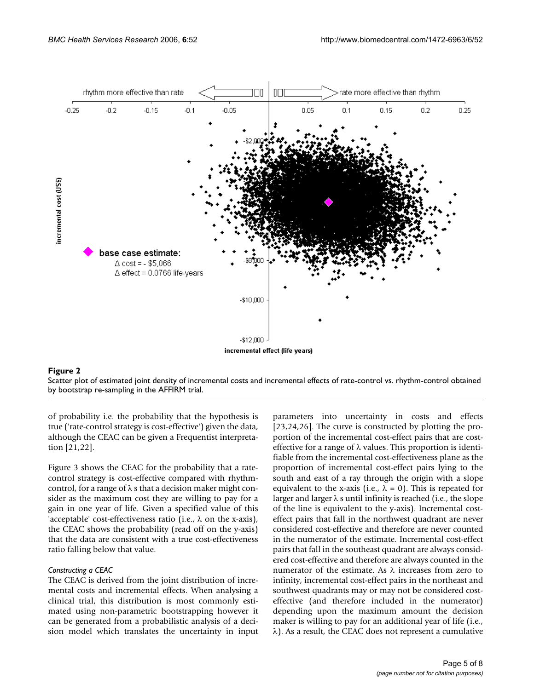

### Scatter plot of estimated joint density of by bootstrap re-sampling in the AFFIRM trial **Figure 2** incremental costs and incremental effects of rate-control vs. rhythm-control obtained

Scatter plot of estimated joint density of incremental costs and incremental effects of rate-control vs. rhythm-control obtained by bootstrap re-sampling in the AFFIRM trial.

of probability i.e. the probability that the hypothesis is true ('rate-control strategy is cost-effective') given the data, although the CEAC can be given a Frequentist interpretation [21,22].

Figure 3 shows the CEAC for the probability that a ratecontrol strategy is cost-effective compared with rhythmcontrol, for a range of λ s that a decision maker might consider as the maximum cost they are willing to pay for a gain in one year of life. Given a specified value of this 'acceptable' cost-effectiveness ratio (i.e.,  $\lambda$  on the x-axis), the CEAC shows the probability (read off on the y-axis) that the data are consistent with a true cost-effectiveness ratio falling below that value.

#### *Constructing a CEAC*

The CEAC is derived from the joint distribution of incremental costs and incremental effects. When analysing a clinical trial, this distribution is most commonly estimated using non-parametric bootstrapping however it can be generated from a probabilistic analysis of a decision model which translates the uncertainty in input parameters into uncertainty in costs and effects [23,24,26]. The curve is constructed by plotting the proportion of the incremental cost-effect pairs that are costeffective for a range of  $\lambda$  values. This proportion is identifiable from the incremental cost-effectiveness plane as the proportion of incremental cost-effect pairs lying to the south and east of a ray through the origin with a slope equivalent to the x-axis (i.e.,  $\lambda = 0$ ). This is repeated for larger and larger  $\lambda$  s until infinity is reached (i.e., the slope of the line is equivalent to the y-axis). Incremental costeffect pairs that fall in the northwest quadrant are never considered cost-effective and therefore are never counted in the numerator of the estimate. Incremental cost-effect pairs that fall in the southeast quadrant are always considered cost-effective and therefore are always counted in the numerator of the estimate. As  $\lambda$  increases from zero to infinity, incremental cost-effect pairs in the northeast and southwest quadrants may or may not be considered costeffective (and therefore included in the numerator) depending upon the maximum amount the decision maker is willing to pay for an additional year of life (i.e., λ). As a result, the CEAC does not represent a cumulative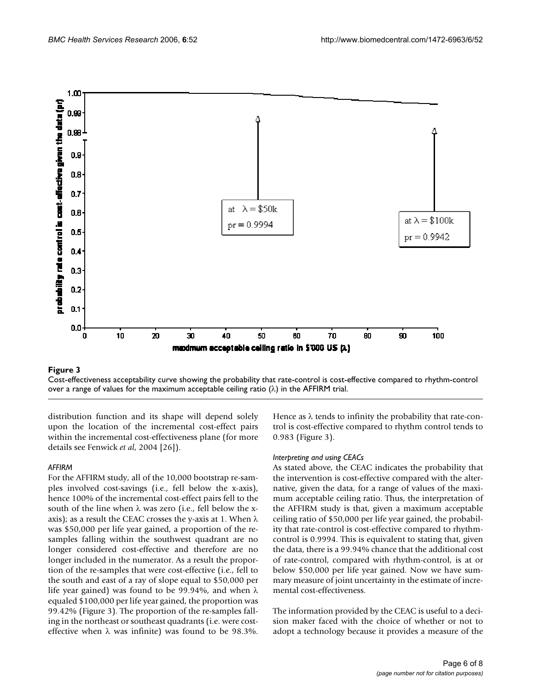

#### Figure 3 and 2012 and 2012 and 2012 and 2012 and 2012 and 2012 and 2012 and 2012 and 2012 and 2012 and 2012 an

Cost-effectiveness acceptability curve showing the probability that rate-control is cost-effective compared to rhythm-control over a range of values for the maximum acceptable ceiling ratio  $(\lambda)$  in the AFFIRM trial.

distribution function and its shape will depend solely upon the location of the incremental cost-effect pairs within the incremental cost-effectiveness plane (for more details see Fenwick *et al*, 2004 [26]).

#### *AFFIRM*

For the AFFIRM study, all of the 10,000 bootstrap re-samples involved cost-savings (i.e., fell below the x-axis), hence 100% of the incremental cost-effect pairs fell to the south of the line when  $\lambda$  was zero (i.e., fell below the xaxis); as a result the CEAC crosses the y-axis at 1. When  $\lambda$ was \$50,000 per life year gained, a proportion of the resamples falling within the southwest quadrant are no longer considered cost-effective and therefore are no longer included in the numerator. As a result the proportion of the re-samples that were cost-effective (i.e., fell to the south and east of a ray of slope equal to \$50,000 per life year gained) was found to be 99.94%, and when  $\lambda$ equaled \$100,000 per life year gained, the proportion was 99.42% (Figure 3). The proportion of the re-samples falling in the northeast or southeast quadrants (i.e. were costeffective when  $\lambda$  was infinite) was found to be 98.3%.

Hence as  $\lambda$  tends to infinity the probability that rate-control is cost-effective compared to rhythm control tends to 0.983 (Figure 3).

#### *Interpreting and using CEACs*

As stated above, the CEAC indicates the probability that the intervention is cost-effective compared with the alternative, given the data, for a range of values of the maximum acceptable ceiling ratio. Thus, the interpretation of the AFFIRM study is that, given a maximum acceptable ceiling ratio of \$50,000 per life year gained, the probability that rate-control is cost-effective compared to rhythmcontrol is 0.9994. This is equivalent to stating that, given the data, there is a 99.94% chance that the additional cost of rate-control, compared with rhythm-control, is at or below \$50,000 per life year gained. Now we have summary measure of joint uncertainty in the estimate of incremental cost-effectiveness.

The information provided by the CEAC is useful to a decision maker faced with the choice of whether or not to adopt a technology because it provides a measure of the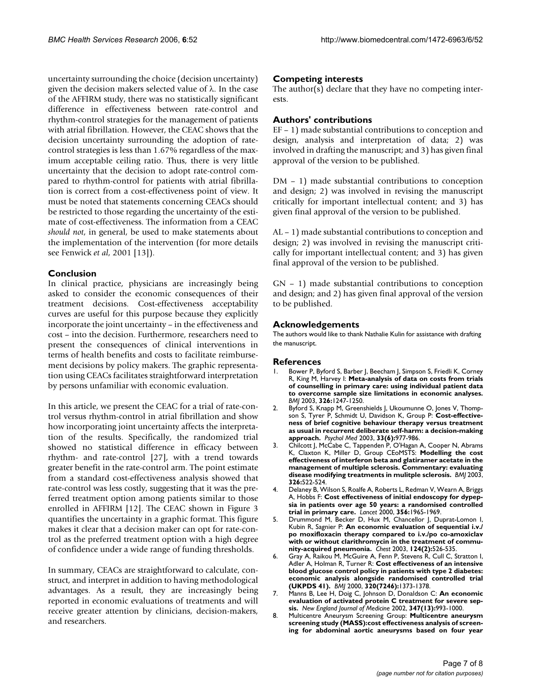uncertainty surrounding the choice (decision uncertainty) given the decision makers selected value of  $\lambda$ . In the case of the AFFIRM study, there was no statistically significant difference in effectiveness between rate-control and rhythm-control strategies for the management of patients with atrial fibrillation. However, the CEAC shows that the decision uncertainty surrounding the adoption of ratecontrol strategies is less than 1.67% regardless of the maximum acceptable ceiling ratio. Thus, there is very little uncertainty that the decision to adopt rate-control compared to rhythm-control for patients with atrial fibrillation is correct from a cost-effectiveness point of view. It must be noted that statements concerning CEACs should be restricted to those regarding the uncertainty of the estimate of cost-effectiveness. The information from a CEAC *should not*, in general, be used to make statements about the implementation of the intervention (for more details see Fenwick *et al*, 2001 [13]).

#### **Conclusion**

In clinical practice, physicians are increasingly being asked to consider the economic consequences of their treatment decisions. Cost-effectiveness acceptability curves are useful for this purpose because they explicitly incorporate the joint uncertainty – in the effectiveness and cost – into the decision. Furthermore, researchers need to present the consequences of clinical interventions in terms of health benefits and costs to facilitate reimbursement decisions by policy makers. The graphic representation using CEACs facilitates straightforward interpretation by persons unfamiliar with economic evaluation.

In this article, we present the CEAC for a trial of rate-control versus rhythm-control in atrial fibrillation and show how incorporating joint uncertainty affects the interpretation of the results. Specifically, the randomized trial showed no statistical difference in efficacy between rhythm- and rate-control [27], with a trend towards greater benefit in the rate-control arm. The point estimate from a standard cost-effectiveness analysis showed that rate-control was less costly, suggesting that it was the preferred treatment option among patients similar to those enrolled in AFFIRM [12]. The CEAC shown in Figure 3 quantifies the uncertainty in a graphic format. This figure makes it clear that a decision maker can opt for rate-control as the preferred treatment option with a high degree of confidence under a wide range of funding thresholds.

In summary, CEACs are straightforward to calculate, construct, and interpret in addition to having methodological advantages. As a result, they are increasingly being reported in economic evaluations of treatments and will receive greater attention by clinicians, decision-makers, and researchers.

#### **Competing interests**

The author(s) declare that they have no competing interests.

#### **Authors' contributions**

EF – 1) made substantial contributions to conception and design, analysis and interpretation of data; 2) was involved in drafting the manuscript; and 3) has given final approval of the version to be published.

DM – 1) made substantial contributions to conception and design; 2) was involved in revising the manuscript critically for important intellectual content; and 3) has given final approval of the version to be published.

AL – 1) made substantial contributions to conception and design; 2) was involved in revising the manuscript critically for important intellectual content; and 3) has given final approval of the version to be published.

GN – 1) made substantial contributions to conception and design; and 2) has given final approval of the version to be published.

#### **Acknowledgements**

The authors would like to thank Nathalie Kulin for assistance with drafting the manuscript.

#### **References**

- Bower P, Byford S, Barber J, Beecham J, Simpson S, Friedli K, Corney R, King M, Harvey I: **[Meta-analysis of data on costs from trials](http://www.ncbi.nlm.nih.gov/entrez/query.fcgi?cmd=Retrieve&db=PubMed&dopt=Abstract&list_uids=12791741) of counselling in primary care: using individual patient data [to overcome sample size limitations in economic analyses.](http://www.ncbi.nlm.nih.gov/entrez/query.fcgi?cmd=Retrieve&db=PubMed&dopt=Abstract&list_uids=12791741)** *BMJ* 2003, **326:**1247-1250.
- 2. Byford S, Knapp M, Greenshields J, Ukoumunne O, Jones V, Thompson S, Tyrer P, Schmidt U, Davidson K, Group P: **[Cost-effective](http://www.ncbi.nlm.nih.gov/entrez/query.fcgi?cmd=Retrieve&db=PubMed&dopt=Abstract&list_uids=12946082)ness of brief cognitive behaviour therapy versus treatment [as usual in recurrent deliberate self-harm: a decision-making](http://www.ncbi.nlm.nih.gov/entrez/query.fcgi?cmd=Retrieve&db=PubMed&dopt=Abstract&list_uids=12946082) [approach.](http://www.ncbi.nlm.nih.gov/entrez/query.fcgi?cmd=Retrieve&db=PubMed&dopt=Abstract&list_uids=12946082)** *Psychol Med* 2003, **33(6):**977-986.
- 3. Chilcott J, McCabe C, Tappenden P, O'Hagan A, Cooper N, Abrams K, Claxton K, Miller D, Group CEoMSTS: **[Modelling the cost](http://www.ncbi.nlm.nih.gov/entrez/query.fcgi?cmd=Retrieve&db=PubMed&dopt=Abstract&list_uids=12623909) effectiveness of interferon beta and glatiramer acetate in the [management of multiple sclerosis. Commentary: evaluating](http://www.ncbi.nlm.nih.gov/entrez/query.fcgi?cmd=Retrieve&db=PubMed&dopt=Abstract&list_uids=12623909) [disease modifying treatments in mulitple sclerosis.](http://www.ncbi.nlm.nih.gov/entrez/query.fcgi?cmd=Retrieve&db=PubMed&dopt=Abstract&list_uids=12623909)** *BMJ* 2003, **326:**522-524.
- Delaney B, Wilson S, Roalfe A, Roberts L, Redman V, Wearn A, Briggs A, Hobbs F: **[Cost effectiveness of initial endoscopy for dypep](http://www.ncbi.nlm.nih.gov/entrez/query.fcgi?cmd=Retrieve&db=PubMed&dopt=Abstract&list_uids=11130524)[sia in patients over age 50 years: a randomised controlled](http://www.ncbi.nlm.nih.gov/entrez/query.fcgi?cmd=Retrieve&db=PubMed&dopt=Abstract&list_uids=11130524) [trial in primary care.](http://www.ncbi.nlm.nih.gov/entrez/query.fcgi?cmd=Retrieve&db=PubMed&dopt=Abstract&list_uids=11130524)** *Lancet* 2000, **356:**1965-1969.
- Drummond M, Becker D, Hux M, Chancellor J, Duprat-Lomon I, Kubin R, Sagnier P: **[An economic evaluation of sequential i.v./](http://www.ncbi.nlm.nih.gov/entrez/query.fcgi?cmd=Retrieve&db=PubMed&dopt=Abstract&list_uids=12907538) po moxifloxacin therapy compared to i.v./po co-amoxiclav [with or without clarithromycin in the treatment of commu](http://www.ncbi.nlm.nih.gov/entrez/query.fcgi?cmd=Retrieve&db=PubMed&dopt=Abstract&list_uids=12907538)[nity-acquired pneumonia.](http://www.ncbi.nlm.nih.gov/entrez/query.fcgi?cmd=Retrieve&db=PubMed&dopt=Abstract&list_uids=12907538)** *Chest* 2003, **124(2):**526-535.
- 6. Gray A, Raikou M, McGuire A, Fenn P, Stevens R, Cull C, Stratton I, Adler A, Holman R, Turner R: **[Cost effectiveness of an intensive](http://www.ncbi.nlm.nih.gov/entrez/query.fcgi?cmd=Retrieve&db=PubMed&dopt=Abstract&list_uids=10818026) blood glucose control policy in patients with type 2 diabetes: [economic analysis alongside randomised controlled trial](http://www.ncbi.nlm.nih.gov/entrez/query.fcgi?cmd=Retrieve&db=PubMed&dopt=Abstract&list_uids=10818026) [\(UKPDS 41\).](http://www.ncbi.nlm.nih.gov/entrez/query.fcgi?cmd=Retrieve&db=PubMed&dopt=Abstract&list_uids=10818026)** *BMJ* 2000, **320(7246):**1373-1378.
- 7. Manns B, Lee H, Doig C, Johnson D, Donaldson C: **[An economic](http://www.ncbi.nlm.nih.gov/entrez/query.fcgi?cmd=Retrieve&db=PubMed&dopt=Abstract&list_uids=12324556) [evaluation of activated protein C treatment for severe sep](http://www.ncbi.nlm.nih.gov/entrez/query.fcgi?cmd=Retrieve&db=PubMed&dopt=Abstract&list_uids=12324556)[sis.](http://www.ncbi.nlm.nih.gov/entrez/query.fcgi?cmd=Retrieve&db=PubMed&dopt=Abstract&list_uids=12324556)** *New England Journal of Medicine* 2002, **347(13):**993-1000.
- 8. Multicentre Aneurysm Screening Group: **[Multicentre aneurysm](http://www.ncbi.nlm.nih.gov/entrez/query.fcgi?cmd=Retrieve&db=PubMed&dopt=Abstract&list_uids=12433761) [screening study \(MASS\):cost effectiveness analysis of screen](http://www.ncbi.nlm.nih.gov/entrez/query.fcgi?cmd=Retrieve&db=PubMed&dopt=Abstract&list_uids=12433761)[ing for abdominal aortic aneurysms based on four year](http://www.ncbi.nlm.nih.gov/entrez/query.fcgi?cmd=Retrieve&db=PubMed&dopt=Abstract&list_uids=12433761)**